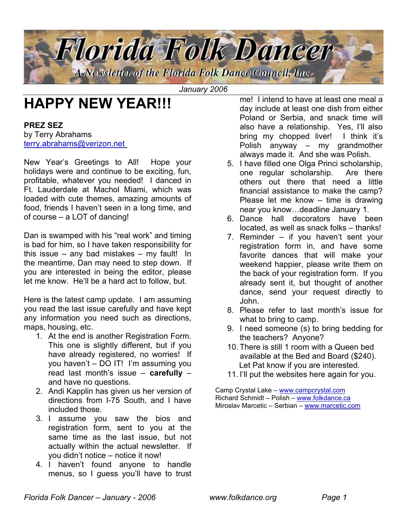

*January 2006*

# **HAPPY NEW YEAR!!!**

#### **PREZ SEZ**

by Terry Abrahams [terry.abrahams@verizon.net](mailto:terry.abrahams@verizon.net)

New Year's Greetings to All! Hope your holidays were and continue to be exciting, fun, profitable, whatever you needed! I danced in Ft. Lauderdale at Machol Miami, which was loaded with cute themes, amazing amounts of food, friends I haven't seen in a long time, and of course – a LOT of dancing!

Dan is swamped with his "real work" and timing is bad for him, so I have taken responsibility for this issue – any bad mistakes – my fault! In the meantime, Dan may need to step down. If you are interested in being the editor, please let me know. He'll be a hard act to follow, but.

Here is the latest camp update. I am assuming you read the last issue carefully and have kept any information you need such as directions, maps, housing, etc.

- 1. At the end is another Registration Form. This one is slightly different, but if you have already registered, no worries! If you haven't – DO IT! I'm assuming you read last month's issue – **carefully** – and have no questions.
- 2. Andi Kapplin has given us her version of directions from I-75 South, and I have included those.
- 3. I assume you saw the bios and registration form, sent to you at the same time as the last issue, but not actually within the actual newsletter. If you didn't notice – notice it now!
- 4. I haven't found anyone to handle menus, so I guess you'll have to trust

me! I intend to have at least one meal a day include at least one dish from either Poland or Serbia, and snack time will also have a relationship. Yes, I'll also bring my chopped liver! I think it's Polish anyway – my grandmother always made it. And she was Polish.

- 5. I have filled one Olga Princi scholarship, one regular scholarship. Are there others out there that need a little financial assistance to make the camp? Please let me know – time is drawing near you know…deadline January 1.
- 6. Dance hall decorators have been located, as well as snack folks – thanks!
- 7. Reminder if you haven't sent your registration form in, and have some favorite dances that will make your weekend happier, please write them on the back of your registration form. If you already sent it, but thought of another dance, send your request directly to John.
- 8. Please refer to last month's issue for what to bring to camp.
- 9. I need someone (s) to bring bedding for the teachers? Anyone?
- 10. There is still 1 room with a Queen bed available at the Bed and Board (\$240). Let Pat know if you are interested.
- 11. I'll put the websites here again for you.

Camp Crystal Lake – [www.campcrystal.com](http://www.campcrystal.com/) Richard Schmidt – Polish – [www.folkdance.ca](http://www.folkdance.ca/) Miroslav Marcetic - Serbian - [www.marcetic.com](http://www.marcetic.com/)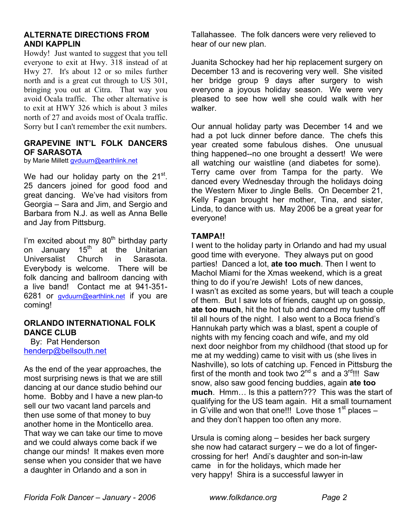#### **ALTERNATE DIRECTIONS FROM ANDI KAPPLIN**

Howdy! Just wanted to suggest that you tell everyone to exit at Hwy. 318 instead of at Hwy 27. It's about 12 or so miles further north and is a great cut through to US 301, bringing you out at Citra. That way you avoid Ocala traffic. The other alternative is to exit at HWY 326 which is about 3 miles north of 27 and avoids most of Ocala traffic. Sorry but I can't remember the exit numbers.

#### **GRAPEVINE INT'L FOLK DANCERS OF SARASOTA**

by Marie Millett [gvduurn@earthlink.net](mailto:gvduurn@earthlink.net)

We had our holiday party on the  $21^{st}$ . 25 dancers joined for good food and great dancing. We've had visitors from Georgia – Sara and Jim, and Sergio and Barbara from N.J. as well as Anna Belle and Jay from Pittsburg.

I'm excited about my  $80<sup>th</sup>$  birthday party on January 15<sup>th</sup> at the Unitarian Universalist Church in Sarasota. Everybody is welcome. There will be folk dancing and ballroom dancing with a live band! Contact me at 941-351- 6281 or [gvduurn@earthlink.net](mailto:gvduurn@earthlink.net) if you are coming!

#### **ORLANDO INTERNATIONAL FOLK DANCE CLUB**

 By: Pat Henderson [henderp@bellsouth.net](mailto:henderp@bellsouth.net)

As the end of the year approaches, the most surprising news is that we are still dancing at our dance studio behind our home. Bobby and I have a new plan-to sell our two vacant land parcels and then use some of that money to buy another home in the Monticello area. That way we can take our time to move and we could always come back if we change our minds! It makes even more sense when you consider that we have a daughter in Orlando and a son in

Tallahassee. The folk dancers were very relieved to hear of our new plan.

Juanita Schockey had her hip replacement surgery on December 13 and is recovering very well. She visited her bridge group 9 days after surgery to wish everyone a joyous holiday season. We were very pleased to see how well she could walk with her walker.

Our annual holiday party was December 14 and we had a pot luck dinner before dance. The chefs this year created some fabulous dishes. One unusual thing happened--no one brought a dessert! We were all watching our waistline (and diabetes for some). Terry came over from Tampa for the party. We danced every Wednesday through the holidays doing the Western Mixer to Jingle Bells. On December 21, Kelly Fagan brought her mother, Tina, and sister, Linda, to dance with us. May 2006 be a great year for everyone!

#### **TAMPA!!**

I went to the holiday party in Orlando and had my usual good time with everyone. They always put on good parties! Danced a lot, **ate too much**. Then I went to Machol Miami for the Xmas weekend, which is a great thing to do if you're Jewish! Lots of new dances, I wasn't as excited as some years, but will teach a couple of them. But I saw lots of friends, caught up on gossip, **ate too much**, hit the hot tub and danced my tushie off til all hours of the night. I also went to a Boca friend's Hannukah party which was a blast, spent a couple of nights with my fencing coach and wife, and my old next door neighbor from my childhood (that stood up for me at my wedding) came to visit with us (she lives in Nashville), so lots of catching up. Fenced in Pittsburg the first of the month and took two  $2^{nd}$  s and a  $3^{rd}$ !!! Saw snow, also saw good fencing buddies, again **ate too much**. Hmm… Is this a pattern??? This was the start of qualifying for the US team again. Hit a small tournament in G'ville and won that one!!! Love those  $1<sup>st</sup>$  places – and they don't happen too often any more.

Ursula is coming along – besides her back surgery she now had cataract surgery – we do a lot of fingercrossing for her! Andi's daughter and son-in-law came in for the holidays, which made her very happy! Shira is a successful lawyer in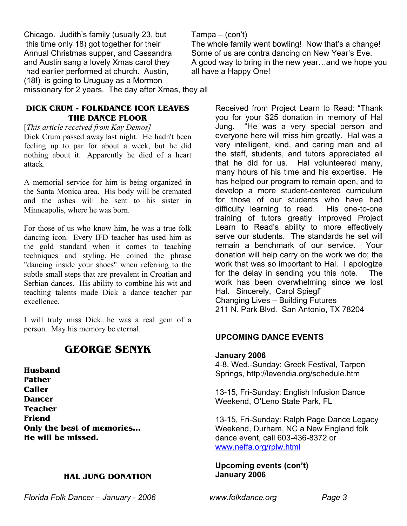Chicago. Judith's family (usually 23, but this time only 18) got together for their Annual Christmas supper, and Cassandra and Austin sang a lovely Xmas carol they had earlier performed at church. Austin, (18!) is going to Uruguay as a Mormon missionary for 2 years. The day after Xmas, they all

#### **DICK CRUM - FOLKDANCE ICON LEAVES THE DANCE FLOOR**

#### [*This article received from Kay Demos]*

Dick Crum passed away last night. He hadn't been feeling up to par for about a week, but he did nothing about it. Apparently he died of a heart attack.

A memorial service for him is being organized in the Santa Monica area. His body will be cremated and the ashes will be sent to his sister in Minneapolis, where he was born.

For those of us who know him, he was a true folk dancing icon. Every IFD teacher has used him as the gold standard when it comes to teaching techniques and styling. He coined the phrase "dancing inside your shoes" when referring to the subtle small steps that are prevalent in Croatian and Serbian dances. His ability to combine his wit and teaching talents made Dick a dance teacher par excellence.

I will truly miss Dick...he was a real gem of a person. May his memory be eternal.

# **GEORGE SENYK**

**Husband Father Caller Dancer Teacher Friend Only the best of memories… He will be missed.** 

#### **HAL JUNG DONATION**

#### Tampa – (con't)

The whole family went bowling! Now that's a change! Some of us are contra dancing on New Year's Eve. A good way to bring in the new year…and we hope you all have a Happy One!

> Received from Project Learn to Read: "Thank you for your \$25 donation in memory of Hal Jung. "He was a very special person and everyone here will miss him greatly. Hal was a very intelligent, kind, and caring man and all the staff, students, and tutors appreciated all that he did for us. Hal volunteered many, many hours of his time and his expertise. He has helped our program to remain open, and to develop a more student-centered curriculum for those of our students who have had difficulty learning to read. His one-to-one training of tutors greatly improved Project Learn to Read's ability to more effectively serve our students. The standards he set will remain a benchmark of our service. Your donation will help carry on the work we do; the work that was so important to Hal. I apologize for the delay in sending you this note. The work has been overwhelming since we lost Hal. Sincerely, Carol Spiegl" Changing Lives – Building Futures 211 N. Park Blvd. San Antonio, TX 78204

### **UPCOMING DANCE EVENTS**

#### **January 2006**

4-8, Wed.-Sunday: Greek Festival, Tarpon Springs, http://levendia.org/schedule.htm

13-15, Fri-Sunday: English Infusion Dance Weekend, O'Leno State Park, FL

13-15, Fri-Sunday: Ralph Page Dance Legacy Weekend, Durham, NC a New England folk dance event, call 603-436-8372 or [www.neffa.org/rplw.html](http://www.neffa.org/rplw.html)

#### **Upcoming events (con't) January 2006**

*Florida Folk Dancer – January - 2006 www.folkdance.org Page 3*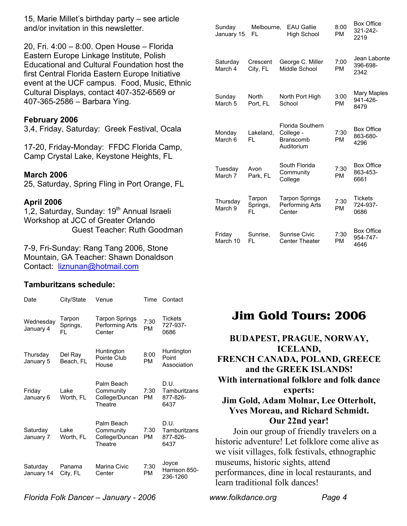15, Marie Millet's birthday party – see article and/or invitation in this newsletter.

20, Fri. 4:00 – 8:00. Open House – Florida Eastern Europe Linkage Institute, Polish Educational and Cultural Foundation host the first Central Florida Eastern Europe Initiative event at the UCF campus. Food, Music, Ethnic Cultural Displays, contact 407-352-6569 or 407-365-2586 – Barbara Ying.

#### **February 2006**

3,4, Friday, Saturday: Greek Festival, Ocala

17-20, Friday-Monday: FFDC Florida Camp, Camp Crystal Lake, Keystone Heights, FL

#### **March 2006**

25, Saturday, Spring Fling in Port Orange, FL

#### **April 2006**

1.2, Saturday, Sunday: 19<sup>th</sup> Annual Israeli Workshop at JCC of Greater Orlando Guest Teacher: Ruth Goodman

7-9, Fri-Sunday: Rang Tang 2006, Stone Mountain, GA Teacher: Shawn Donaldson Contact: [liznunan@hotmail.com](mailto:liznunan@hotmail.com)

#### **Tamburitzans schedule:**

| Date                   | City/State                | Venue                                                | Time       | Contact                                  |
|------------------------|---------------------------|------------------------------------------------------|------------|------------------------------------------|
| Wednesday<br>January 4 | Tarpon<br>Springs,<br>FL. | Tarpon Springs<br>Performing Arts<br>Center          | 7:30<br>РM | <b>Tickets</b><br>727-937-<br>0686       |
| Thursday<br>January 5  | Del Ray<br>Beach, FL      | Huntington<br>Pointe Club<br>House                   | 8:00<br>PM | Huntington<br>Point<br>Association       |
| Friday<br>January 6    | Lake<br>Worth, FL         | Palm Beach<br>Community<br>College/Duncan<br>Theatre | 7:30<br>PM | D.U.<br>Tamburitzans<br>877-826-<br>6437 |
| Saturday<br>January 7  | Lake<br>Worth, FL         | Palm Beach<br>Community<br>College/Duncan<br>Theatre | 7:30<br>PM | D.U.<br>Tamburitzans<br>877-826-<br>6437 |
| Saturday<br>January 14 | Panama<br>City, FL        | Marina Civic<br>Center                               | 7:30<br>PM | Joyce<br>Harrison 850-<br>236-1260       |

| Sunday<br>January 15         | Melbourne,<br>FL          | <b>EAU Gallie</b><br><b>High School</b>                         | 8:00<br>PM        | טטווט אטש<br>321-242-<br>2219         |
|------------------------------|---------------------------|-----------------------------------------------------------------|-------------------|---------------------------------------|
| Saturdav<br>March 4          | Crescent<br>City, FL      | George C. Miller<br>Middle School                               | 7:00<br><b>PM</b> | Jean Labonte<br>396-698-<br>2342      |
| Sunday<br>March <sub>5</sub> | North<br>Port, FL         | North Port High<br>School                                       | 3:00<br><b>PM</b> | Mary Maples<br>941-426-<br>8479       |
| Monday<br>March 6            | Lakeland,<br>FL.          | Florida Southern<br>College -<br><b>Branscomb</b><br>Auditorium | 7:30<br><b>PM</b> | <b>Box Office</b><br>863-680-<br>4296 |
| Tuesday<br>March 7           | Avon<br>Park. FL          | South Florida<br>Community<br>College                           | 7:30<br><b>PM</b> | <b>Box Office</b><br>863-453-<br>6661 |
| Thursday<br>March 9          | Tarpon<br>Springs,<br>FI. | <b>Tarpon Springs</b><br>Performing Arts<br>Center              | 7:30<br>РM        | <b>Tickets</b><br>724-937-<br>0686    |
| Friday<br>March 10           | Sunrise,<br>FL            | Sunrise Civic<br><b>Center Theater</b>                          | 7:30<br><b>PM</b> | <b>Box Office</b><br>954-747-<br>4646 |

Box Office

# **Jim Gold Tours: 2006**

# **BUDAPEST, PRAGUE, NORWAY, ICELAND, FRENCH CANADA, POLAND, GREECE and the GREEK ISLANDS! With international folklore and folk dance experts:**

# **Jim Gold, Adam Molnar, Lee Otterholt, Yves Moreau, and Richard Schmidt. Our 22nd year!**

 Join our group of friendly travelers on a historic adventure! Let folklore come alive as we visit villages, folk festivals, ethnographic museums, historic sights, attend performances, dine in local restaurants, and learn traditional folk dances!

*Florida Folk Dancer – January - 2006 www.folkdance.org Page 4*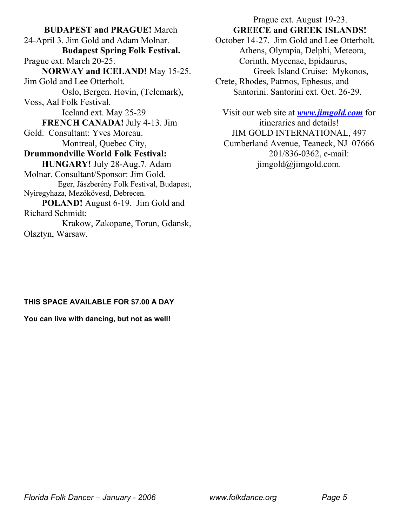**BUDAPEST and PRAGUE!** March 24-April 3. Jim Gold and Adam Molnar.  **Budapest Spring Folk Festival.** Prague ext. March 20-25.  **NORWAY and ICELAND!** May 15-25. Jim Gold and Lee Otterholt. Oslo, Bergen. Hovin, (Telemark), Voss, Aal Folk Festival. Iceland ext. May 25-29  **FRENCH CANADA!** July 4-13. Jim Gold. Consultant: Yves Moreau. Montreal, Quebec City, **Drummondville World Folk Festival: HUNGARY!** July 28-Aug.7. Adam Molnar. Consultant/Sponsor: Jim Gold. Eger, Jászberény Folk Festival, Budapest, Nyiregyhaza, Mezökövesd, Debrecen. **POLAND!** August 6-19. Jim Gold and Richard Schmidt: Krakow, Zakopane, Torun, Gdansk, Olsztyn, Warsaw.

## Prague ext. August 19-23.  **GREECE and GREEK ISLANDS!** October 14-27. Jim Gold and Lee Otterholt.

Athens, Olympia, Delphi, Meteora, Corinth, Mycenae, Epidaurus, Greek Island Cruise: Mykonos, Crete, Rhodes, Patmos, Ephesus, and

Santorini. Santorini ext. Oct. 26-29.

Visit our web site at *[www.jimgold.com](http://www.jimgold.com/)* for itineraries and details! JIM GOLD INTERNATIONAL, 497 Cumberland Avenue, Teaneck, NJ 07666 201/836-0362, e-mail: jimgold@jimgold.com.

#### **THIS SPACE AVAILABLE FOR \$7.00 A DAY**

**You can live with dancing, but not as well!**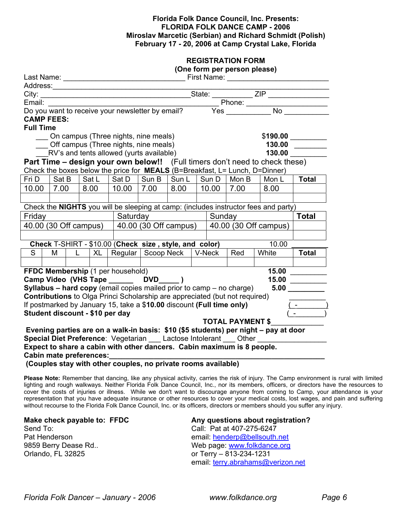#### **Florida Folk Dance Council, Inc. Presents: FLORIDA FOLK DANCE CAMP - 2006 Miroslav Marcetic (Serbian) and Richard Schmidt (Polish) February 17 - 20, 2006 at Camp Crystal Lake, Florida**

| <b>REGISTRATION FORM</b>              |  |  |  |  |
|---------------------------------------|--|--|--|--|
| . ده دا د. مید میده به ده سوه میشود ک |  |  |  |  |

|  | (One form per person please) |  |
|--|------------------------------|--|
|--|------------------------------|--|

|                                                                                                                        |   |       |    |  | Litial.<br>Do you want to receive your newsletter by email?                        |                    |      |  |                       |                 |                                                                                     |                                                                                                                                                                                                                                      |
|------------------------------------------------------------------------------------------------------------------------|---|-------|----|--|------------------------------------------------------------------------------------|--------------------|------|--|-----------------------|-----------------|-------------------------------------------------------------------------------------|--------------------------------------------------------------------------------------------------------------------------------------------------------------------------------------------------------------------------------------|
| <b>CAMP FEES:</b>                                                                                                      |   |       |    |  |                                                                                    |                    |      |  |                       |                 |                                                                                     |                                                                                                                                                                                                                                      |
| <b>Full Time</b>                                                                                                       |   |       |    |  |                                                                                    |                    |      |  |                       |                 |                                                                                     |                                                                                                                                                                                                                                      |
|                                                                                                                        |   |       |    |  | On campus (Three nights, nine meals)                                               |                    |      |  |                       |                 | \$190.00                                                                            |                                                                                                                                                                                                                                      |
|                                                                                                                        |   |       |    |  | Off campus (Three nights, nine meals)                                              |                    |      |  |                       |                 | 130.00                                                                              |                                                                                                                                                                                                                                      |
|                                                                                                                        |   |       |    |  | RV's and tents allowed (yurts available)                                           |                    |      |  |                       |                 | 130.00                                                                              |                                                                                                                                                                                                                                      |
|                                                                                                                        |   |       |    |  |                                                                                    |                    |      |  |                       |                 | <b>Part Time – design your own below!!</b> (Full timers don't need to check these)  |                                                                                                                                                                                                                                      |
|                                                                                                                        |   |       |    |  |                                                                                    |                    |      |  |                       |                 | Check the boxes below the price for MEALS (B=Breakfast, L= Lunch, D=Dinner)         |                                                                                                                                                                                                                                      |
| Fri D                                                                                                                  |   | Sat B |    |  | $Sat L$ $Sat D$ $Sun B$ $Sun L$                                                    |                    |      |  |                       | │ Sun D │ Mon B | Mon L                                                                               | <b>Total</b>                                                                                                                                                                                                                         |
| 10.00 7.00                                                                                                             |   |       |    |  | 8.00   10.00   7.00                                                                |                    | 8.00 |  | 10.00                 | 7.00            | 8.00                                                                                |                                                                                                                                                                                                                                      |
|                                                                                                                        |   |       |    |  |                                                                                    |                    |      |  |                       |                 |                                                                                     |                                                                                                                                                                                                                                      |
|                                                                                                                        |   |       |    |  |                                                                                    |                    |      |  |                       |                 | Check the NIGHTS you will be sleeping at camp: (includes instructor fees and party) |                                                                                                                                                                                                                                      |
| Friday                                                                                                                 |   |       |    |  |                                                                                    | Sunday<br>Saturday |      |  | <b>Total</b>          |                 |                                                                                     |                                                                                                                                                                                                                                      |
| $\overline{40.00}$ (30 Off campus)                                                                                     |   |       |    |  | $\vert$ 40.00 (30 Off campus)                                                      |                    |      |  | 40.00 (30 Off campus) |                 |                                                                                     |                                                                                                                                                                                                                                      |
|                                                                                                                        |   |       |    |  |                                                                                    |                    |      |  |                       |                 |                                                                                     |                                                                                                                                                                                                                                      |
|                                                                                                                        |   |       |    |  | Check T-SHIRT - \$10.00 (Check size, style, and color)                             |                    |      |  |                       |                 | 10.00                                                                               |                                                                                                                                                                                                                                      |
| S                                                                                                                      | м |       | L. |  | XL   Regular   Scoop Neck                                                          |                    |      |  | V-Neck                | Red             | White                                                                               | <b>Total</b>                                                                                                                                                                                                                         |
|                                                                                                                        |   |       |    |  |                                                                                    |                    |      |  |                       |                 |                                                                                     |                                                                                                                                                                                                                                      |
|                                                                                                                        |   |       |    |  | FFDC Membership (1 per household)                                                  |                    |      |  |                       |                 | 15.00                                                                               |                                                                                                                                                                                                                                      |
|                                                                                                                        |   |       |    |  |                                                                                    |                    |      |  |                       |                 | 15.00                                                                               | <u> The Common State State State State State State State State State State State State State State State State State State State State State State State State State State State State State State State State State State State</u> |
| Camp Video (VHS Tape _______ DVD_____)<br>Syllabus - hard copy (email copies mailed prior to camp - no charge)<br>5.00 |   |       |    |  |                                                                                    |                    |      |  |                       |                 |                                                                                     |                                                                                                                                                                                                                                      |
|                                                                                                                        |   |       |    |  | <b>Contributions</b> to Olga Princi Scholarship are appreciated (but not required) |                    |      |  |                       |                 |                                                                                     |                                                                                                                                                                                                                                      |
|                                                                                                                        |   |       |    |  | If postmarked by January 15, take a \$10.00 discount (Full time only)              |                    |      |  |                       |                 |                                                                                     |                                                                                                                                                                                                                                      |
|                                                                                                                        |   |       |    |  | Student discount - \$10 per day                                                    |                    |      |  |                       |                 |                                                                                     |                                                                                                                                                                                                                                      |
| <b>TOTAL PAYMENT \$</b>                                                                                                |   |       |    |  |                                                                                    |                    |      |  |                       |                 |                                                                                     |                                                                                                                                                                                                                                      |
|                                                                                                                        |   |       |    |  |                                                                                    |                    |      |  |                       |                 | Evening parties are on a walk-in basis: \$10 (\$5 students) per night – pay at door |                                                                                                                                                                                                                                      |
| Special Diet Preference: Vegetarian __ Lactose Intolerant __ Other __                                                  |   |       |    |  |                                                                                    |                    |      |  |                       |                 |                                                                                     |                                                                                                                                                                                                                                      |
|                                                                                                                        |   |       |    |  | Expect to share a cabin with other dancers. Cabin maximum is 8 people.             |                    |      |  |                       |                 |                                                                                     |                                                                                                                                                                                                                                      |
|                                                                                                                        |   |       |    |  |                                                                                    |                    |      |  |                       |                 |                                                                                     |                                                                                                                                                                                                                                      |
|                                                                                                                        |   |       |    |  |                                                                                    |                    |      |  |                       |                 |                                                                                     |                                                                                                                                                                                                                                      |

 **(Couples stay with other couples, no private rooms available)** 

**Please Note:** Remember that dancing, like any physical activity, carries the risk of injury. The Camp environment is rural with limited lighting and rough walkways. Neither Florida Folk Dance Council, Inc., nor its members, officers, or directors have the resources to cover the costs of injuries or illness. While we don't want to discourage anyone from coming to Camp, your attendance is your representation that you have adequate insurance or other resources to cover your medical costs, lost wages, and pain and suffering without recourse to the Florida Folk Dance Council, Inc. or its officers, directors or members should you suffer any injury.

Send To: Call: Pat at 407-275-6247 Pat Henderson email: [henderp@bellsouth.net](mailto:henderp@bellsouth.net) 9859 Berry Dease Rd.. The Contract of Media page: [www.folkdance.org](http://www.folkdance.org/) Orlando, FL 32825 or Terry – 813-234-1231

Make check payable to: FFDC **Any questions about registration?** email: [terry.abrahams@verizon.net](mailto:terry.abrahams@verizon.net)